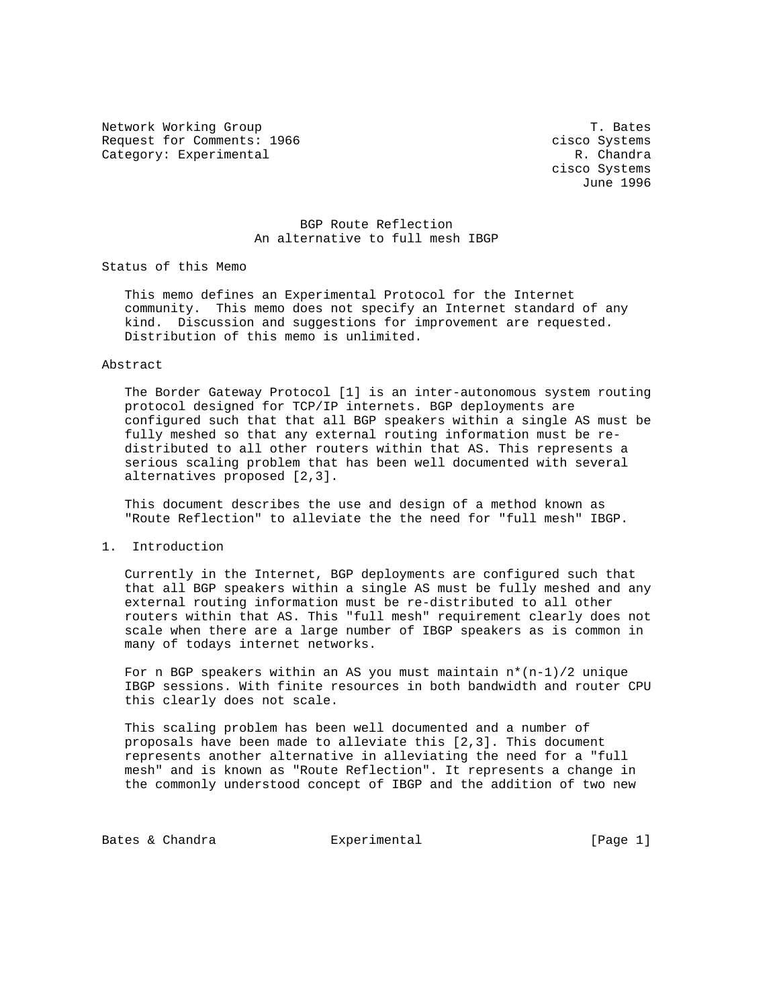Network Working Group T. Bates Request for Comments: 1966 cisco Systems Category: Experimental R. Chandra

 cisco Systems June 1996

## BGP Route Reflection An alternative to full mesh IBGP

Status of this Memo

 This memo defines an Experimental Protocol for the Internet community. This memo does not specify an Internet standard of any kind. Discussion and suggestions for improvement are requested. Distribution of this memo is unlimited.

## Abstract

 The Border Gateway Protocol [1] is an inter-autonomous system routing protocol designed for TCP/IP internets. BGP deployments are configured such that that all BGP speakers within a single AS must be fully meshed so that any external routing information must be re distributed to all other routers within that AS. This represents a serious scaling problem that has been well documented with several alternatives proposed [2,3].

 This document describes the use and design of a method known as "Route Reflection" to alleviate the the need for "full mesh" IBGP.

1. Introduction

 Currently in the Internet, BGP deployments are configured such that that all BGP speakers within a single AS must be fully meshed and any external routing information must be re-distributed to all other routers within that AS. This "full mesh" requirement clearly does not scale when there are a large number of IBGP speakers as is common in many of todays internet networks.

For n BGP speakers within an AS you must maintain  $n*(n-1)/2$  unique IBGP sessions. With finite resources in both bandwidth and router CPU this clearly does not scale.

 This scaling problem has been well documented and a number of proposals have been made to alleviate this [2,3]. This document represents another alternative in alleviating the need for a "full mesh" and is known as "Route Reflection". It represents a change in the commonly understood concept of IBGP and the addition of two new

Bates & Chandra **Experimental** Experimental [Page 1]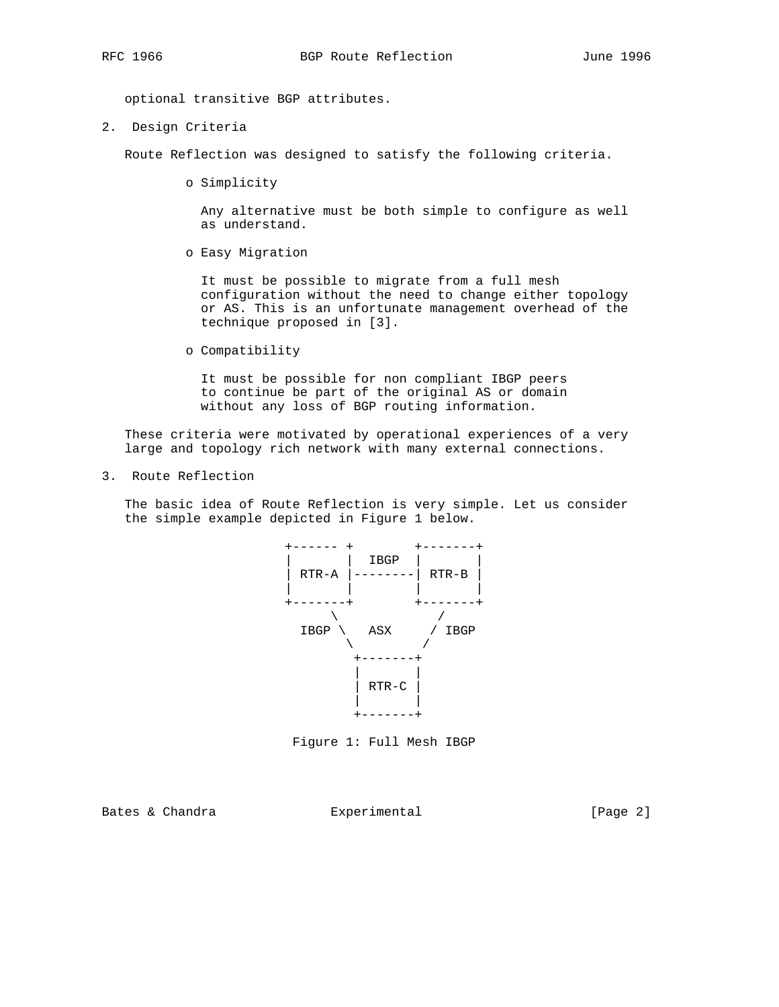optional transitive BGP attributes.

2. Design Criteria

Route Reflection was designed to satisfy the following criteria.

o Simplicity

 Any alternative must be both simple to configure as well as understand.

o Easy Migration

 It must be possible to migrate from a full mesh configuration without the need to change either topology or AS. This is an unfortunate management overhead of the technique proposed in [3].

o Compatibility

 It must be possible for non compliant IBGP peers to continue be part of the original AS or domain without any loss of BGP routing information.

 These criteria were motivated by operational experiences of a very large and topology rich network with many external connections.

3. Route Reflection

 The basic idea of Route Reflection is very simple. Let us consider the simple example depicted in Figure 1 below.



Figure 1: Full Mesh IBGP

Bates & Chandra Experimental [Page 2]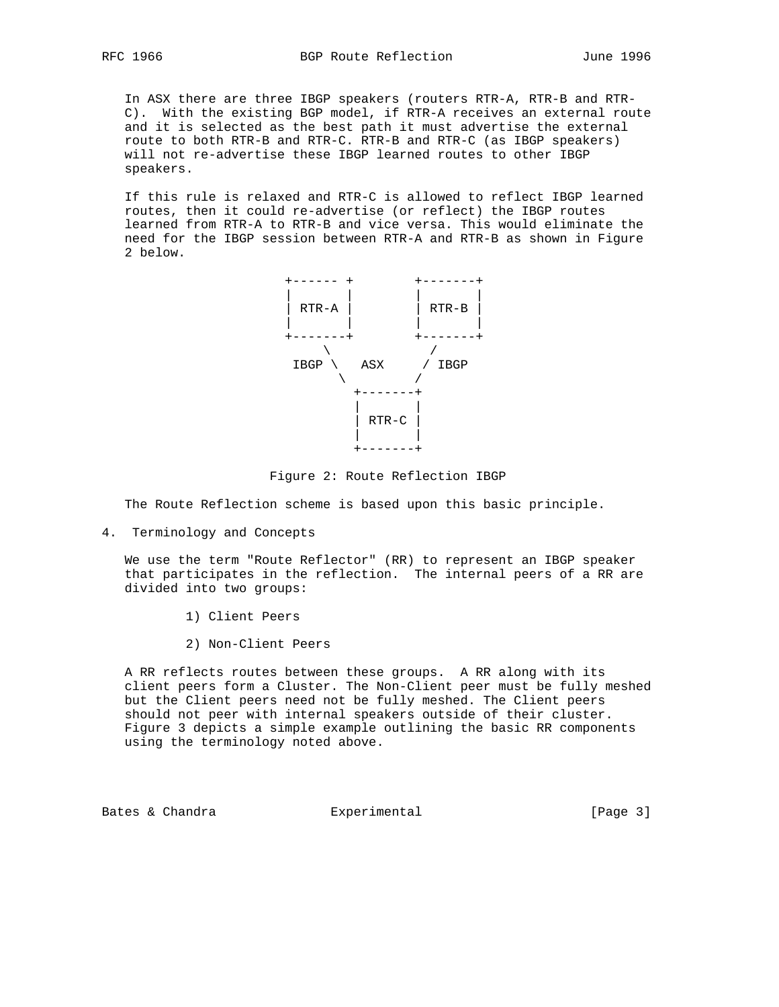In ASX there are three IBGP speakers (routers RTR-A, RTR-B and RTR- C). With the existing BGP model, if RTR-A receives an external route and it is selected as the best path it must advertise the external route to both RTR-B and RTR-C. RTR-B and RTR-C (as IBGP speakers) will not re-advertise these IBGP learned routes to other IBGP speakers.

 If this rule is relaxed and RTR-C is allowed to reflect IBGP learned routes, then it could re-advertise (or reflect) the IBGP routes learned from RTR-A to RTR-B and vice versa. This would eliminate the need for the IBGP session between RTR-A and RTR-B as shown in Figure 2 below.



Figure 2: Route Reflection IBGP

The Route Reflection scheme is based upon this basic principle.

4. Terminology and Concepts

 We use the term "Route Reflector" (RR) to represent an IBGP speaker that participates in the reflection. The internal peers of a RR are divided into two groups:

- 1) Client Peers
- 2) Non-Client Peers

 A RR reflects routes between these groups. A RR along with its client peers form a Cluster. The Non-Client peer must be fully meshed but the Client peers need not be fully meshed. The Client peers should not peer with internal speakers outside of their cluster. Figure 3 depicts a simple example outlining the basic RR components using the terminology noted above.

Bates & Chandra **Experimental** Experimental [Page 3]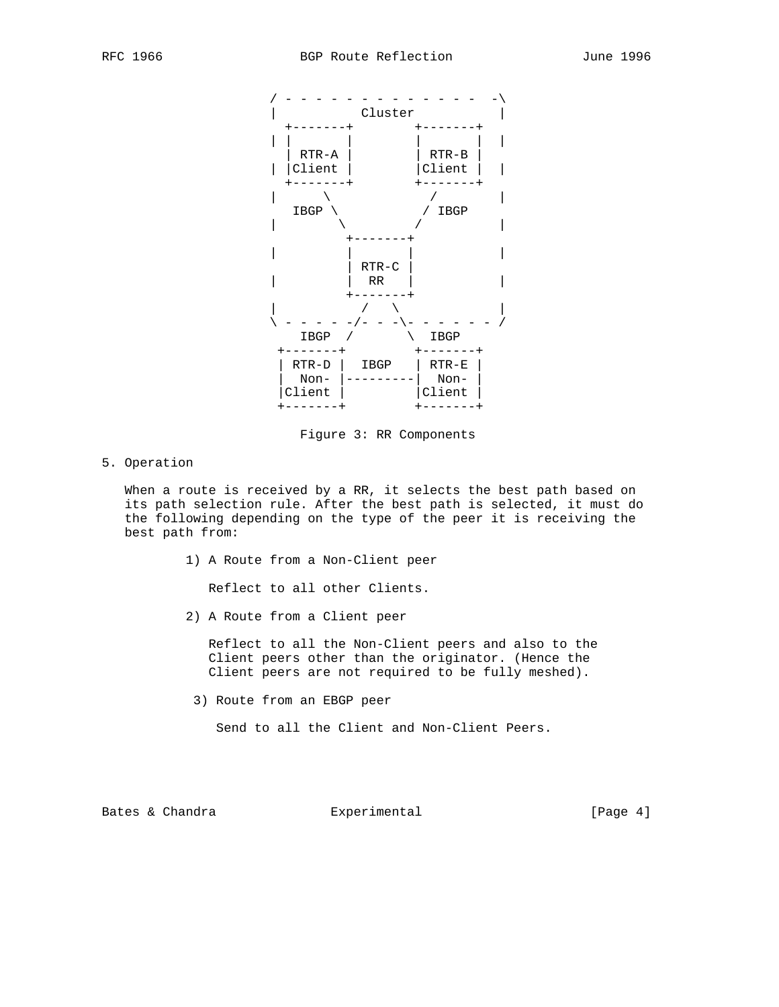

Figure 3: RR Components

5. Operation

 When a route is received by a RR, it selects the best path based on its path selection rule. After the best path is selected, it must do the following depending on the type of the peer it is receiving the best path from:

1) A Route from a Non-Client peer

Reflect to all other Clients.

2) A Route from a Client peer

 Reflect to all the Non-Client peers and also to the Client peers other than the originator. (Hence the Client peers are not required to be fully meshed).

3) Route from an EBGP peer

Send to all the Client and Non-Client Peers.

Bates & Chandra **Experimental** Experimental [Page 4]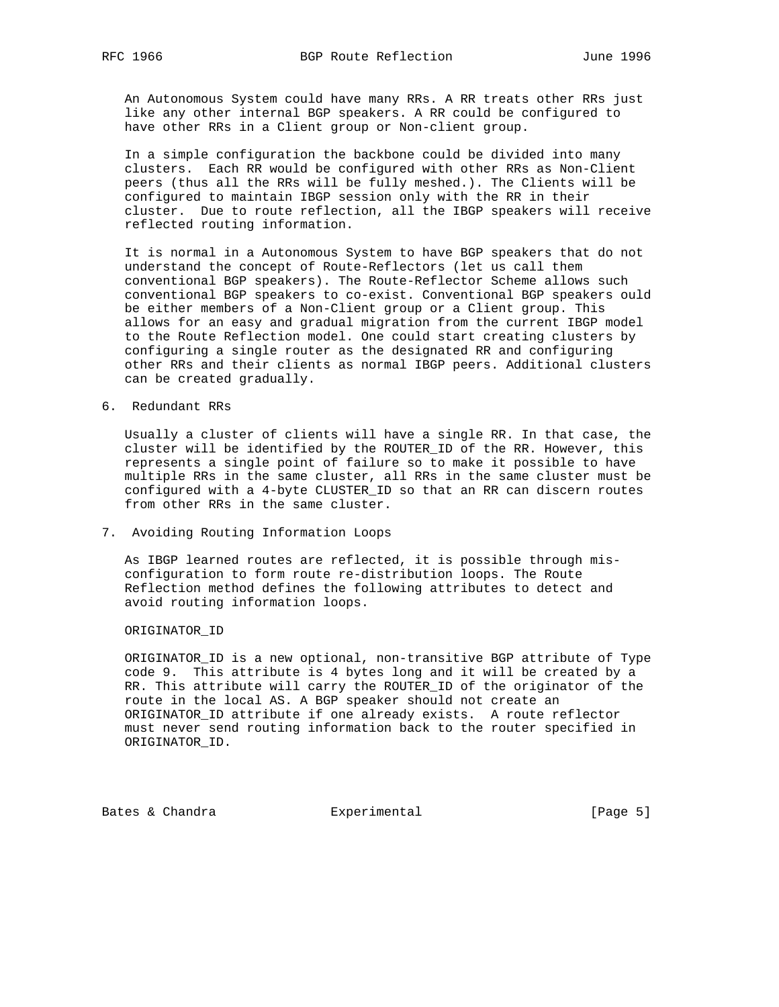An Autonomous System could have many RRs. A RR treats other RRs just like any other internal BGP speakers. A RR could be configured to have other RRs in a Client group or Non-client group.

 In a simple configuration the backbone could be divided into many clusters. Each RR would be configured with other RRs as Non-Client peers (thus all the RRs will be fully meshed.). The Clients will be configured to maintain IBGP session only with the RR in their cluster. Due to route reflection, all the IBGP speakers will receive reflected routing information.

 It is normal in a Autonomous System to have BGP speakers that do not understand the concept of Route-Reflectors (let us call them conventional BGP speakers). The Route-Reflector Scheme allows such conventional BGP speakers to co-exist. Conventional BGP speakers ould be either members of a Non-Client group or a Client group. This allows for an easy and gradual migration from the current IBGP model to the Route Reflection model. One could start creating clusters by configuring a single router as the designated RR and configuring other RRs and their clients as normal IBGP peers. Additional clusters can be created gradually.

6. Redundant RRs

 Usually a cluster of clients will have a single RR. In that case, the cluster will be identified by the ROUTER\_ID of the RR. However, this represents a single point of failure so to make it possible to have multiple RRs in the same cluster, all RRs in the same cluster must be configured with a 4-byte CLUSTER\_ID so that an RR can discern routes from other RRs in the same cluster.

7. Avoiding Routing Information Loops

 As IBGP learned routes are reflected, it is possible through mis configuration to form route re-distribution loops. The Route Reflection method defines the following attributes to detect and avoid routing information loops.

ORIGINATOR\_ID

 ORIGINATOR\_ID is a new optional, non-transitive BGP attribute of Type code 9. This attribute is 4 bytes long and it will be created by a RR. This attribute will carry the ROUTER\_ID of the originator of the route in the local AS. A BGP speaker should not create an ORIGINATOR\_ID attribute if one already exists. A route reflector must never send routing information back to the router specified in ORIGINATOR\_ID.

Bates & Chandra **Experimental** Experimental [Page 5]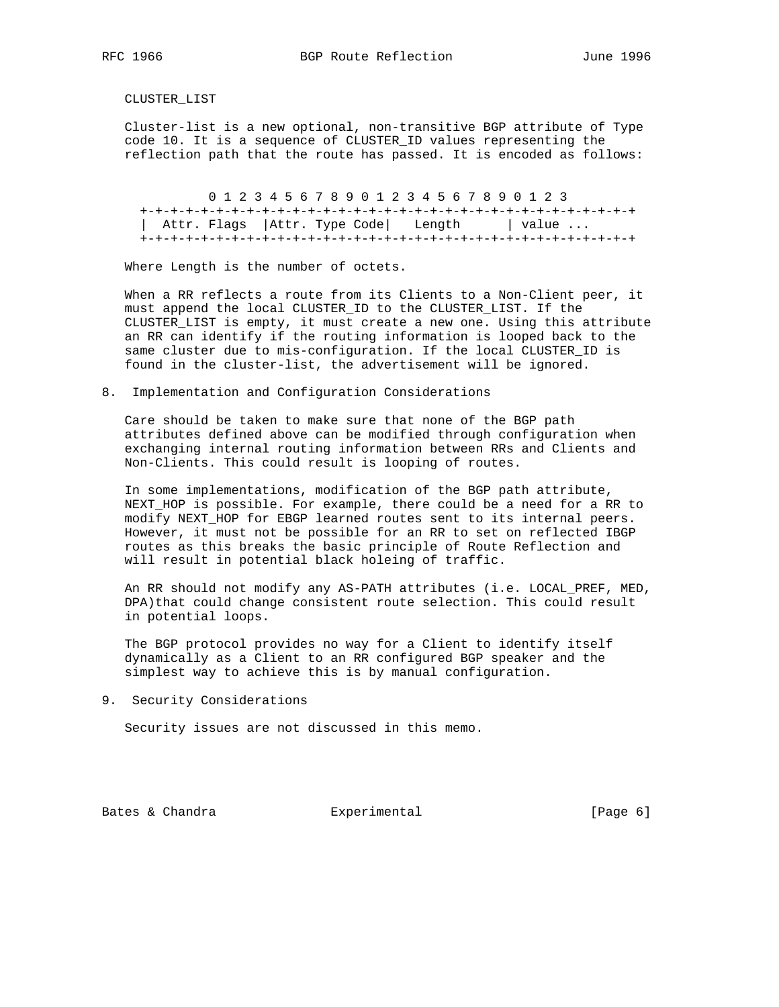CLUSTER\_LIST

 Cluster-list is a new optional, non-transitive BGP attribute of Type code 10. It is a sequence of CLUSTER\_ID values representing the reflection path that the route has passed. It is encoded as follows:

 0 1 2 3 4 5 6 7 8 9 0 1 2 3 4 5 6 7 8 9 0 1 2 3 +-+-+-+-+-+-+-+-+-+-+-+-+-+-+-+-+-+-+-+-+-+-+-+-+-+-+-+-+-+-+-+-+ | Attr. Flags | Attr. Type Code | Length | value ... +-+-+-+-+-+-+-+-+-+-+-+-+-+-+-+-+-+-+-+-+-+-+-+-+-+-+-+-+-+-+-+-+

Where Length is the number of octets.

 When a RR reflects a route from its Clients to a Non-Client peer, it must append the local CLUSTER\_ID to the CLUSTER\_LIST. If the CLUSTER\_LIST is empty, it must create a new one. Using this attribute an RR can identify if the routing information is looped back to the same cluster due to mis-configuration. If the local CLUSTER\_ID is found in the cluster-list, the advertisement will be ignored.

8. Implementation and Configuration Considerations

 Care should be taken to make sure that none of the BGP path attributes defined above can be modified through configuration when exchanging internal routing information between RRs and Clients and Non-Clients. This could result is looping of routes.

 In some implementations, modification of the BGP path attribute, NEXT\_HOP is possible. For example, there could be a need for a RR to modify NEXT HOP for EBGP learned routes sent to its internal peers. However, it must not be possible for an RR to set on reflected IBGP routes as this breaks the basic principle of Route Reflection and will result in potential black holeing of traffic.

 An RR should not modify any AS-PATH attributes (i.e. LOCAL\_PREF, MED, DPA)that could change consistent route selection. This could result in potential loops.

 The BGP protocol provides no way for a Client to identify itself dynamically as a Client to an RR configured BGP speaker and the simplest way to achieve this is by manual configuration.

9. Security Considerations

Security issues are not discussed in this memo.

Bates & Chandra **Experimental** Experimental [Page 6]